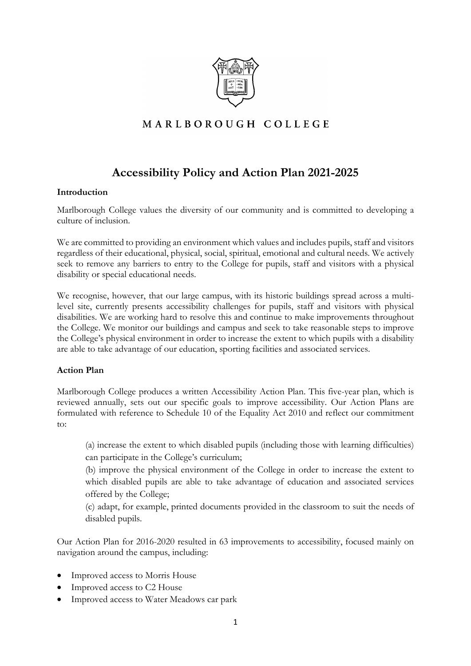

# MARLBOROUGH COLLEGE

# **Accessibility Policy and Action Plan 2021-2025**

### **Introduction**

Marlborough College values the diversity of our community and is committed to developing a culture of inclusion.

We are committed to providing an environment which values and includes pupils, staff and visitors regardless of their educational, physical, social, spiritual, emotional and cultural needs. We actively seek to remove any barriers to entry to the College for pupils, staff and visitors with a physical disability or special educational needs.

We recognise, however, that our large campus, with its historic buildings spread across a multilevel site, currently presents accessibility challenges for pupils, staff and visitors with physical disabilities. We are working hard to resolve this and continue to make improvements throughout the College. We monitor our buildings and campus and seek to take reasonable steps to improve the College's physical environment in order to increase the extent to which pupils with a disability are able to take advantage of our education, sporting facilities and associated services.

### **Action Plan**

Marlborough College produces a written Accessibility Action Plan. This five-year plan, which is reviewed annually, sets out our specific goals to improve accessibility. Our Action Plans are formulated with reference to Schedule 10 of the Equality Act 2010 and reflect our commitment to:

(a) increase the extent to which disabled pupils (including those with learning difficulties) can participate in the College's curriculum;

(b) improve the physical environment of the College in order to increase the extent to which disabled pupils are able to take advantage of education and associated services offered by the College;

(c) adapt, for example, printed documents provided in the classroom to suit the needs of disabled pupils.

Our Action Plan for 2016-2020 resulted in 63 improvements to accessibility, focused mainly on navigation around the campus, including:

- Improved access to Morris House
- Improved access to C2 House
- Improved access to Water Meadows car park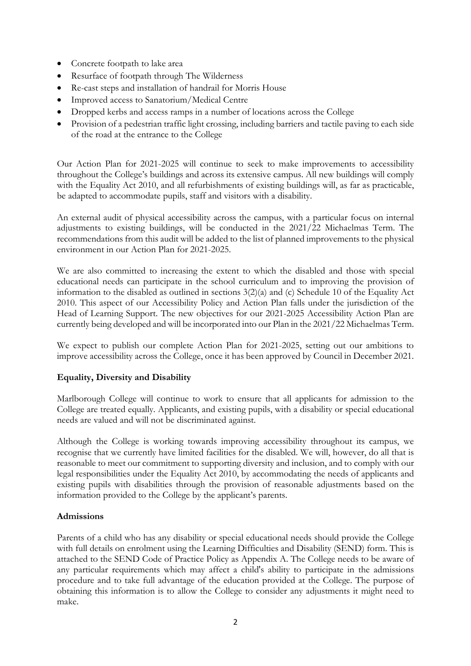- Concrete footpath to lake area
- Resurface of footpath through The Wilderness
- Re-cast steps and installation of handrail for Morris House
- Improved access to Sanatorium/Medical Centre
- Dropped kerbs and access ramps in a number of locations across the College
- Provision of a pedestrian traffic light crossing, including barriers and tactile paving to each side of the road at the entrance to the College

Our Action Plan for 2021-2025 will continue to seek to make improvements to accessibility throughout the College's buildings and across its extensive campus. All new buildings will comply with the Equality Act 2010, and all refurbishments of existing buildings will, as far as practicable, be adapted to accommodate pupils, staff and visitors with a disability.

An external audit of physical accessibility across the campus, with a particular focus on internal adjustments to existing buildings, will be conducted in the 2021/22 Michaelmas Term. The recommendations from this audit will be added to the list of planned improvements to the physical environment in our Action Plan for 2021-2025.

We are also committed to increasing the extent to which the disabled and those with special educational needs can participate in the school curriculum and to improving the provision of information to the disabled as outlined in sections 3(2)(a) and (c) Schedule 10 of the Equality Act 2010. This aspect of our Accessibility Policy and Action Plan falls under the jurisdiction of the Head of Learning Support. The new objectives for our 2021-2025 Accessibility Action Plan are currently being developed and will be incorporated into our Plan in the 2021/22 Michaelmas Term.

We expect to publish our complete Action Plan for 2021-2025, setting out our ambitions to improve accessibility across the College, once it has been approved by Council in December 2021.

### **Equality, Diversity and Disability**

Marlborough College will continue to work to ensure that all applicants for admission to the College are treated equally. Applicants, and existing pupils, with a disability or special educational needs are valued and will not be discriminated against.

Although the College is working towards improving accessibility throughout its campus, we recognise that we currently have limited facilities for the disabled. We will, however, do all that is reasonable to meet our commitment to supporting diversity and inclusion, and to comply with our legal responsibilities under the Equality Act 2010, by accommodating the needs of applicants and existing pupils with disabilities through the provision of reasonable adjustments based on the information provided to the College by the applicant's parents.

### **Admissions**

Parents of a child who has any disability or special educational needs should provide the College with full details on enrolment using the Learning Difficulties and Disability (SEND) form. This is attached to the SEND Code of Practice Policy as Appendix A. The College needs to be aware of any particular requirements which may affect a child's ability to participate in the admissions procedure and to take full advantage of the education provided at the College. The purpose of obtaining this information is to allow the College to consider any adjustments it might need to make.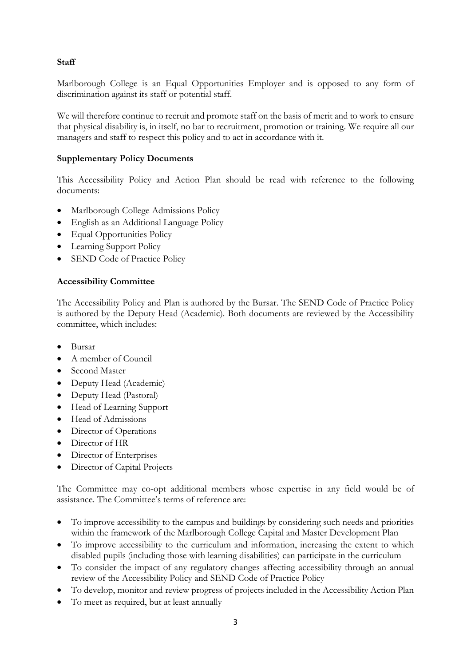# **Staff**

Marlborough College is an Equal Opportunities Employer and is opposed to any form of discrimination against its staff or potential staff.

We will therefore continue to recruit and promote staff on the basis of merit and to work to ensure that physical disability is, in itself, no bar to recruitment, promotion or training. We require all our managers and staff to respect this policy and to act in accordance with it.

# **Supplementary Policy Documents**

This Accessibility Policy and Action Plan should be read with reference to the following documents:

- Marlborough College Admissions Policy
- English as an Additional Language Policy
- Equal Opportunities Policy
- Learning Support Policy
- SEND Code of Practice Policy

### **Accessibility Committee**

The Accessibility Policy and Plan is authored by the Bursar. The SEND Code of Practice Policy is authored by the Deputy Head (Academic). Both documents are reviewed by the Accessibility committee, which includes:

- Bursar
- A member of Council
- Second Master
- Deputy Head (Academic)
- Deputy Head (Pastoral)
- Head of Learning Support
- Head of Admissions
- Director of Operations
- Director of HR
- Director of Enterprises
- Director of Capital Projects

The Committee may co-opt additional members whose expertise in any field would be of assistance. The Committee's terms of reference are:

- To improve accessibility to the campus and buildings by considering such needs and priorities within the framework of the Marlborough College Capital and Master Development Plan
- To improve accessibility to the curriculum and information, increasing the extent to which disabled pupils (including those with learning disabilities) can participate in the curriculum
- To consider the impact of any regulatory changes affecting accessibility through an annual review of the Accessibility Policy and SEND Code of Practice Policy
- To develop, monitor and review progress of projects included in the Accessibility Action Plan
- To meet as required, but at least annually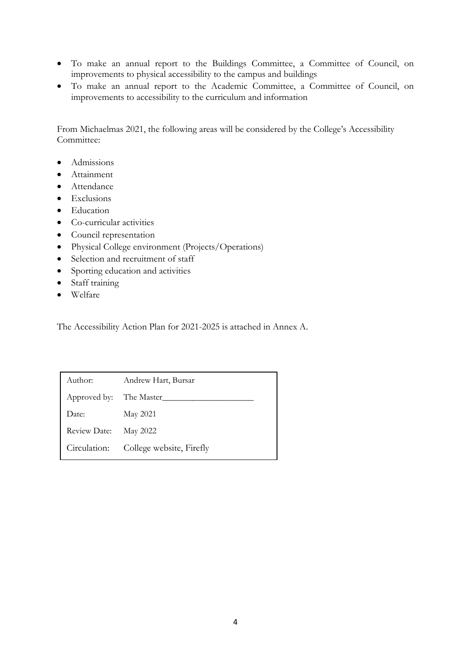- To make an annual report to the Buildings Committee, a Committee of Council, on improvements to physical accessibility to the campus and buildings
- To make an annual report to the Academic Committee, a Committee of Council, on improvements to accessibility to the curriculum and information

From Michaelmas 2021, the following areas will be considered by the College's Accessibility Committee:

- Admissions
- Attainment
- Attendance
- Exclusions
- Education
- Co-curricular activities
- Council representation
- Physical College environment (Projects/Operations)
- Selection and recruitment of staff
- Sporting education and activities
- Staff training
- Welfare

The Accessibility Action Plan for 2021-2025 is attached in Annex A.

| Author:      | Andrew Hart, Bursar      |
|--------------|--------------------------|
| Approved by: | The Master_              |
| Date:        | May 2021                 |
| Review Date: | May 2022                 |
| Circulation: | College website, Firefly |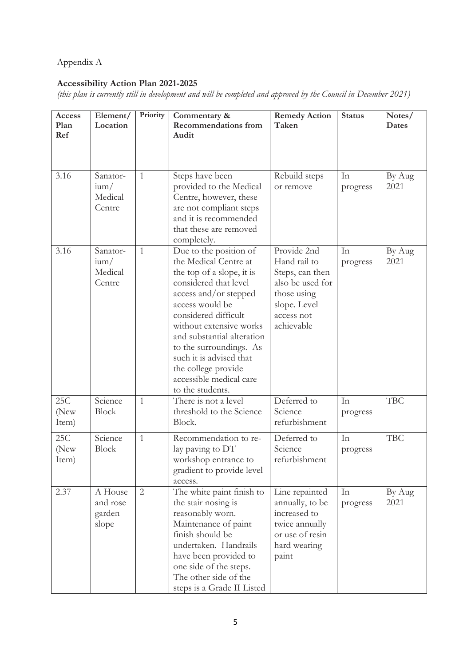# Appendix A

# **Accessibility Action Plan 2021-2025**

*(this plan is currently still in development and will be completed and approved by the Council in December 2021)*

| Access<br>Plan<br>Ref | Element/<br>Location                     | Priority     | Commentary &<br><b>Recommendations from</b><br>Audit                                                                                                                                                                                                                                                                                                           | <b>Remedy Action</b><br>Taken                                                                                                 | <b>Status</b>  | Notes/<br><b>Dates</b> |
|-----------------------|------------------------------------------|--------------|----------------------------------------------------------------------------------------------------------------------------------------------------------------------------------------------------------------------------------------------------------------------------------------------------------------------------------------------------------------|-------------------------------------------------------------------------------------------------------------------------------|----------------|------------------------|
| 3.16                  | Sanator-<br>$\lim$<br>Medical<br>Centre  | $\mathbf{1}$ | Steps have been<br>provided to the Medical<br>Centre, however, these<br>are not compliant steps<br>and it is recommended<br>that these are removed<br>completely.                                                                                                                                                                                              | Rebuild steps<br>or remove                                                                                                    | In<br>progress | By Aug<br>2021         |
| 3.16                  | Sanator-<br>$\lim/$<br>Medical<br>Centre | $\mathbf{1}$ | Due to the position of<br>the Medical Centre at<br>the top of a slope, it is<br>considered that level<br>access and/or stepped<br>access would be<br>considered difficult<br>without extensive works<br>and substantial alteration<br>to the surroundings. As<br>such it is advised that<br>the college provide<br>accessible medical care<br>to the students. | Provide 2nd<br>Hand rail to<br>Steps, can then<br>also be used for<br>those using<br>slope. Level<br>access not<br>achievable | In<br>progress | By Aug<br>2021         |
| 25C<br>(New<br>Item)  | Science<br><b>Block</b>                  | $\mathbf{1}$ | There is not a level<br>threshold to the Science<br>Block.                                                                                                                                                                                                                                                                                                     | Deferred to<br>Science<br>refurbishment                                                                                       | In<br>progress | <b>TBC</b>             |
| 25C<br>(New<br>Item)  | Science<br>Block                         | $\mathbf{1}$ | Recommendation to re-<br>lay paving to DT<br>workshop entrance to<br>gradient to provide level<br>access.                                                                                                                                                                                                                                                      | Deferred to<br>Science<br>refurbishment                                                                                       | In<br>progress | <b>TBC</b>             |
| 2.37                  | A House<br>and rose<br>garden<br>slope   | $\mathbf{2}$ | The white paint finish to<br>the stair nosing is<br>reasonably worn.<br>Maintenance of paint<br>finish should be<br>undertaken. Handrails<br>have been provided to<br>one side of the steps.<br>The other side of the<br>steps is a Grade II Listed                                                                                                            | Line repainted<br>annually, to be<br>increased to<br>twice annually<br>or use of resin<br>hard wearing<br>paint               | In<br>progress | By Aug<br>2021         |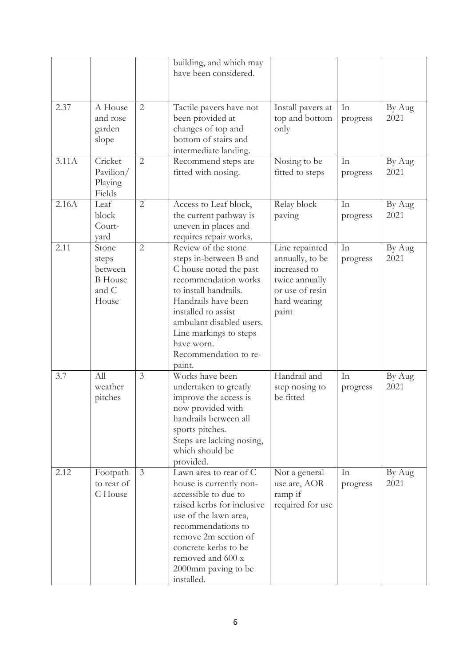|       |                                                               |                | building, and which may<br>have been considered.                                                                                                                                                                                                                              |                                                                                                                 |                |                |
|-------|---------------------------------------------------------------|----------------|-------------------------------------------------------------------------------------------------------------------------------------------------------------------------------------------------------------------------------------------------------------------------------|-----------------------------------------------------------------------------------------------------------------|----------------|----------------|
| 2.37  | A House<br>and rose<br>garden<br>slope                        | 2              | Tactile pavers have not<br>been provided at<br>changes of top and<br>bottom of stairs and<br>intermediate landing.                                                                                                                                                            | Install pavers at<br>top and bottom<br>only                                                                     | In<br>progress | By Aug<br>2021 |
| 3.11A | Cricket<br>Pavilion/<br>Playing<br>Fields                     | $\mathbf{2}$   | Recommend steps are<br>fitted with nosing.                                                                                                                                                                                                                                    | Nosing to be<br>fitted to steps                                                                                 | In<br>progress | By Aug<br>2021 |
| 2.16A | Leaf<br>block<br>Court-<br>yard                               | $\mathbf{2}$   | Access to Leaf block,<br>the current pathway is<br>uneven in places and<br>requires repair works.                                                                                                                                                                             | Relay block<br>paving                                                                                           | In<br>progress | By Aug<br>2021 |
| 2.11  | Stone<br>steps<br>between<br><b>B</b> House<br>and C<br>House | $\overline{2}$ | Review of the stone<br>steps in-between B and<br>C house noted the past<br>recommendation works<br>to install handrails.<br>Handrails have been<br>installed to assist<br>ambulant disabled users.<br>Line markings to steps<br>have worn.<br>Recommendation to re-<br>paint. | Line repainted<br>annually, to be<br>increased to<br>twice annually<br>or use of resin<br>hard wearing<br>paint | In<br>progress | By Aug<br>2021 |
| 3.7   | All<br>weather<br>pitches                                     | $\mathfrak{Z}$ | Works have been<br>undertaken to greatly<br>improve the access is<br>now provided with<br>handrails between all<br>sports pitches.<br>Steps are lacking nosing,<br>which should be<br>provided.                                                                               | Handrail and<br>step nosing to<br>be fitted                                                                     | In<br>progress | By Aug<br>2021 |
| 2.12  | Footpath<br>to rear of<br>C House                             | $\mathfrak{Z}$ | Lawn area to rear of C<br>house is currently non-<br>accessible to due to<br>raised kerbs for inclusive<br>use of the lawn area,<br>recommendations to<br>remove 2m section of<br>concrete kerbs to be<br>removed and 600 x<br>2000mm paving to be<br>installed.              | Not a general<br>use are, AOR<br>ramp if<br>required for use                                                    | In<br>progress | By Aug<br>2021 |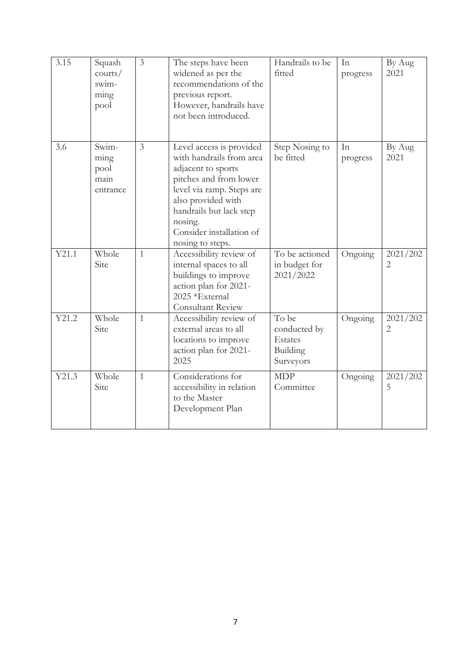| 3.15  | Squash<br>counts/<br>swim-<br>ming<br>pool | $\mathfrak{Z}$ | The steps have been<br>widened as per the<br>recommendations of the<br>previous report.<br>However, handrails have<br>not been introduced.                                                                                                    | Handrails to be<br>fitted                                 | In<br>progress | By Aug<br>2021 |
|-------|--------------------------------------------|----------------|-----------------------------------------------------------------------------------------------------------------------------------------------------------------------------------------------------------------------------------------------|-----------------------------------------------------------|----------------|----------------|
| 3.6   | Swim-<br>ming<br>pool<br>main<br>entrance  | $\mathfrak{Z}$ | Level access is provided<br>with handrails from area<br>adjacent to sports<br>pitches and from lower<br>level via ramp. Steps are<br>also provided with<br>handrails but lack step<br>nosing.<br>Consider installation of<br>nosing to steps. | Step Nosing to<br>be fitted                               | In<br>progress | By Aug<br>2021 |
| Y21.1 | Whole<br>Site                              | $\mathbf{1}$   | Accessibility review of<br>internal spaces to all<br>buildings to improve<br>action plan for 2021-<br>2025 *External<br>Consultant Review                                                                                                     | To be actioned<br>in budget for<br>2021/2022              | Ongoing        | 2021/202<br>2  |
| Y21.2 | Whole<br>Site                              | 1              | Accessibility review of<br>external areas to all<br>locations to improve<br>action plan for 2021-<br>2025                                                                                                                                     | To be<br>conducted by<br>Estates<br>Building<br>Surveyors | Ongoing        | 2021/202<br>2  |
| Y21.3 | Whole<br>Site                              | $\mathbf{1}$   | Considerations for<br>accessibility in relation<br>to the Master<br>Development Plan                                                                                                                                                          | <b>MDP</b><br>Committee                                   | Ongoing        | 2021/202<br>5  |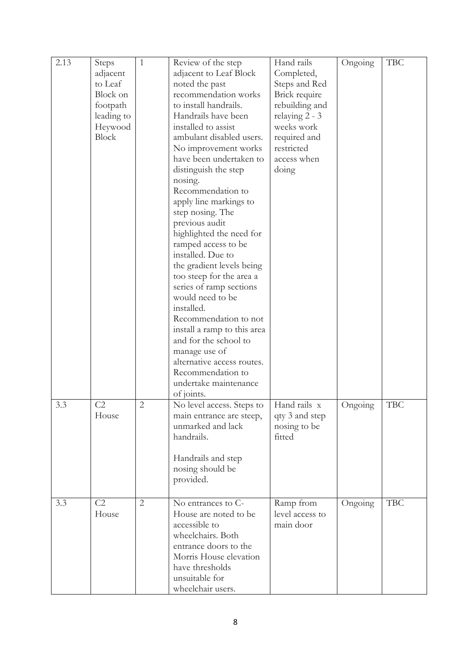| 2.13 | Steps<br>adjacent<br>to Leaf<br>Block on<br>footpath<br>leading to<br>Heywood<br><b>Block</b> | $\mathbf{1}$ | Review of the step<br>adjacent to Leaf Block<br>noted the past<br>recommendation works<br>to install handrails.<br>Handrails have been<br>installed to assist<br>ambulant disabled users.<br>No improvement works<br>have been undertaken to<br>distinguish the step<br>nosing.<br>Recommendation to<br>apply line markings to<br>step nosing. The<br>previous audit<br>highlighted the need for<br>ramped access to be<br>installed. Due to<br>the gradient levels being<br>too steep for the area a<br>series of ramp sections<br>would need to be<br>installed.<br>Recommendation to not<br>install a ramp to this area<br>and for the school to<br>manage use of<br>alternative access routes.<br>Recommendation to<br>undertake maintenance | Hand rails<br>Completed,<br>Steps and Red<br>Brick require<br>rebuilding and<br>relaying $2 - 3$<br>weeks work<br>required and<br>restricted<br>access when<br>doing | Ongoing | <b>TBC</b> |
|------|-----------------------------------------------------------------------------------------------|--------------|--------------------------------------------------------------------------------------------------------------------------------------------------------------------------------------------------------------------------------------------------------------------------------------------------------------------------------------------------------------------------------------------------------------------------------------------------------------------------------------------------------------------------------------------------------------------------------------------------------------------------------------------------------------------------------------------------------------------------------------------------|----------------------------------------------------------------------------------------------------------------------------------------------------------------------|---------|------------|
| 3.3  | C <sub>2</sub><br>House                                                                       | $\mathbf{2}$ | of joints.<br>No level access. Steps to<br>main entrance are steep,<br>unmarked and lack<br>handrails.<br>Handrails and step<br>nosing should be<br>provided.                                                                                                                                                                                                                                                                                                                                                                                                                                                                                                                                                                                    | Hand rails x<br>qty 3 and step<br>nosing to be<br>fitted                                                                                                             | Ongoing | <b>TBC</b> |
| 3.3  | C2<br>House                                                                                   | $\mathbf{2}$ | No entrances to C-<br>House are noted to be<br>accessible to<br>wheelchairs. Both<br>entrance doors to the<br>Morris House elevation<br>have thresholds<br>unsuitable for<br>wheelchair users.                                                                                                                                                                                                                                                                                                                                                                                                                                                                                                                                                   | Ramp from<br>level access to<br>main door                                                                                                                            | Ongoing | <b>TBC</b> |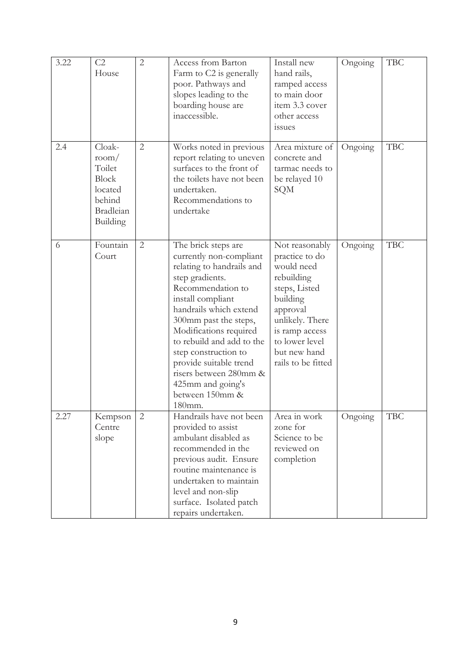| 3.22 | C <sub>2</sub><br>House                                                                        | $\mathbf{2}$   | Access from Barton<br>Farm to C2 is generally<br>poor. Pathways and<br>slopes leading to the<br>boarding house are<br>inaccessible.                                                                                                                                                                                                                                              | Install new<br>hand rails,<br>ramped access<br>to main door<br>item 3.3 cover<br>other access<br><i>issues</i>                                                                                     | Ongoing | <b>TBC</b> |
|------|------------------------------------------------------------------------------------------------|----------------|----------------------------------------------------------------------------------------------------------------------------------------------------------------------------------------------------------------------------------------------------------------------------------------------------------------------------------------------------------------------------------|----------------------------------------------------------------------------------------------------------------------------------------------------------------------------------------------------|---------|------------|
| 2.4  | Cloak-<br>room/<br>Toilet<br><b>Block</b><br>located<br>behind<br><b>Bradleian</b><br>Building | $\mathbf{2}$   | Works noted in previous<br>report relating to uneven<br>surfaces to the front of<br>the toilets have not been<br>undertaken.<br>Recommendations to<br>undertake                                                                                                                                                                                                                  | Area mixture of<br>concrete and<br>tarmac needs to<br>be relayed 10<br>SQM                                                                                                                         | Ongoing | <b>TBC</b> |
| 6    | Fountain<br>Court                                                                              | $\overline{2}$ | The brick steps are<br>currently non-compliant<br>relating to handrails and<br>step gradients.<br>Recommendation to<br>install compliant<br>handrails which extend<br>300mm past the steps,<br>Modifications required<br>to rebuild and add to the<br>step construction to<br>provide suitable trend<br>risers between 280mm &<br>425mm and going's<br>between 150mm &<br>180mm. | Not reasonably<br>practice to do<br>would need<br>rebuilding<br>steps, Listed<br>building<br>approval<br>unlikely. There<br>is ramp access<br>to lower level<br>but new hand<br>rails to be fitted | Ongoing | <b>TBC</b> |
| 2.27 | Kempson<br>Centre<br>slope                                                                     | $\mathbf{2}$   | Handrails have not been<br>provided to assist<br>ambulant disabled as<br>recommended in the<br>previous audit. Ensure<br>routine maintenance is<br>undertaken to maintain<br>level and non-slip<br>surface. Isolated patch<br>repairs undertaken.                                                                                                                                | Area in work<br>zone for<br>Science to be<br>reviewed on<br>completion                                                                                                                             | Ongoing | TBC        |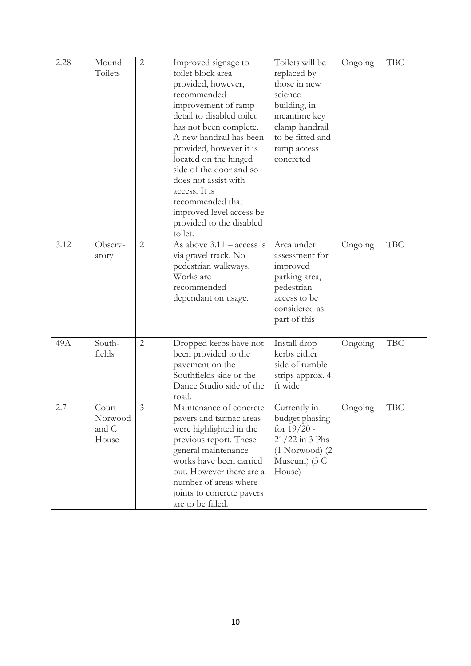| 2.28 | Mound<br>Toilets                   | $\overline{2}$ | Improved signage to<br>toilet block area<br>provided, however,<br>recommended<br>improvement of ramp<br>detail to disabled toilet<br>has not been complete.<br>A new handrail has been<br>provided, however it is<br>located on the hinged<br>side of the door and so<br>does not assist with<br>access. It is<br>recommended that<br>improved level access be<br>provided to the disabled<br>toilet. | Toilets will be<br>replaced by<br>those in new<br>science<br>building, in<br>meantime key<br>clamp handrail<br>to be fitted and<br>ramp access<br>concreted | Ongoing | <b>TBC</b> |
|------|------------------------------------|----------------|-------------------------------------------------------------------------------------------------------------------------------------------------------------------------------------------------------------------------------------------------------------------------------------------------------------------------------------------------------------------------------------------------------|-------------------------------------------------------------------------------------------------------------------------------------------------------------|---------|------------|
| 3.12 | Observ-<br>atory                   | 2              | As above $3.11 - \text{access}$ is<br>via gravel track. No<br>pedestrian walkways.<br>Works are<br>recommended<br>dependant on usage.                                                                                                                                                                                                                                                                 | Area under<br>assessment for<br>improved<br>parking area,<br>pedestrian<br>access to be<br>considered as<br>part of this                                    | Ongoing | <b>TBC</b> |
| 49A  | South-<br>fields                   | $\mathfrak{2}$ | Dropped kerbs have not<br>been provided to the<br>pavement on the<br>Southfields side or the<br>Dance Studio side of the<br>road.                                                                                                                                                                                                                                                                     | Install drop<br>kerbs either<br>side of rumble<br>strips approx. 4<br>ft wide                                                                               | Ongoing | <b>TBC</b> |
| 2.7  | Court<br>Norwood<br>and C<br>House | $\mathfrak{Z}$ | Maintenance of concrete<br>pavers and tarmac areas<br>were highlighted in the<br>previous report. These<br>general maintenance<br>works have been carried<br>out. However there are a<br>number of areas where<br>joints to concrete pavers<br>are to be filled.                                                                                                                                      | Currently in<br>budget phasing<br>for $19/20$ -<br>$21/22$ in 3 Phs<br>$(1$ Norwood $)$ $(2)$<br>Museum $(3 C)$<br>House)                                   | Ongoing | <b>TBC</b> |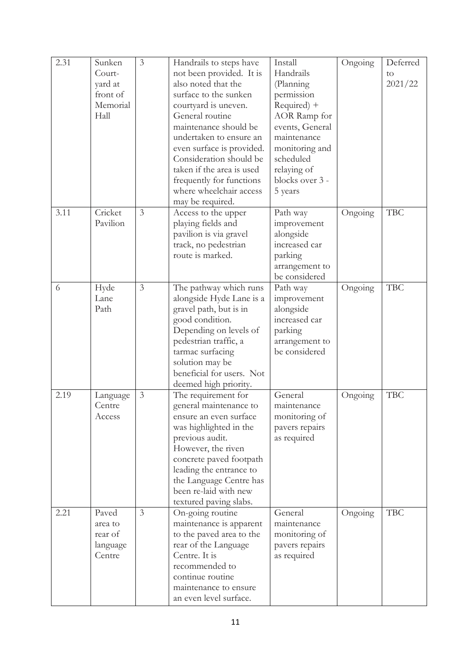| 2.31 | Sunken<br>Court-<br>yard at<br>front of<br>Memorial<br>Hall | 3              | Handrails to steps have<br>not been provided. It is<br>also noted that the<br>surface to the sunken<br>courtyard is uneven.<br>General routine<br>maintenance should be<br>undertaken to ensure an<br>even surface is provided.<br>Consideration should be<br>taken if the area is used<br>frequently for functions<br>where wheelchair access<br>may be required. | Install<br>Handrails<br>(Planning<br>permission<br>Required) +<br>AOR Ramp for<br>events, General<br>maintenance<br>monitoring and<br>scheduled<br>relaying of<br>blocks over 3 -<br>5 years | Ongoing | Deferred<br>to<br>2021/22 |
|------|-------------------------------------------------------------|----------------|--------------------------------------------------------------------------------------------------------------------------------------------------------------------------------------------------------------------------------------------------------------------------------------------------------------------------------------------------------------------|----------------------------------------------------------------------------------------------------------------------------------------------------------------------------------------------|---------|---------------------------|
| 3.11 | Cricket<br>Pavilion                                         | $\mathfrak{Z}$ | Access to the upper<br>playing fields and<br>pavilion is via gravel<br>track, no pedestrian<br>route is marked.                                                                                                                                                                                                                                                    | Path way<br>improvement<br>alongside<br>increased car<br>parking<br>arrangement to<br>be considered                                                                                          | Ongoing | <b>TBC</b>                |
| 6    | Hyde<br>Lane<br>Path                                        | 3              | The pathway which runs<br>alongside Hyde Lane is a<br>gravel path, but is in<br>good condition.<br>Depending on levels of<br>pedestrian traffic, a<br>tarmac surfacing<br>solution may be<br>beneficial for users. Not<br>deemed high priority.                                                                                                                    | Path way<br>improvement<br>alongside<br>increased car<br>parking<br>arrangement to<br>be considered                                                                                          | Ongoing | <b>TBC</b>                |
| 2.19 | Language<br>Centre<br>Access                                | 3              | The requirement for<br>general maintenance to<br>ensure an even surface<br>was highlighted in the<br>previous audit.<br>However, the riven<br>concrete paved footpath<br>leading the entrance to<br>the Language Centre has<br>been re-laid with new<br>textured paving slabs.                                                                                     | General<br>maintenance<br>monitoring of<br>pavers repairs<br>as required                                                                                                                     | Ongoing | <b>TBC</b>                |
| 2.21 | Paved<br>area to<br>rear of<br>language<br>Centre           | 3              | On-going routine<br>maintenance is apparent<br>to the paved area to the<br>rear of the Language<br>Centre. It is<br>recommended to<br>continue routine<br>maintenance to ensure<br>an even level surface.                                                                                                                                                          | General<br>maintenance<br>monitoring of<br>pavers repairs<br>as required                                                                                                                     | Ongoing | <b>TBC</b>                |